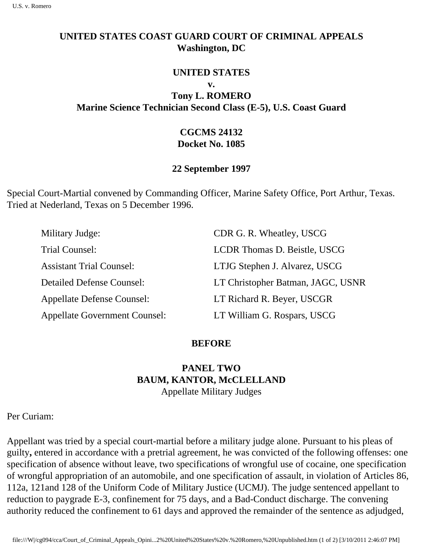### **UNITED STATES COAST GUARD COURT OF CRIMINAL APPEALS Washington, DC**

#### **UNITED STATES**

**v.**

**Tony L. ROMERO Marine Science Technician Second Class (E-5), U.S. Coast Guard** 

## **CGCMS 24132 Docket No. 1085**

### **22 September 1997**

Special Court-Martial convened by Commanding Officer, Marine Safety Office, Port Arthur, Texas. Tried at Nederland, Texas on 5 December 1996.

| Military Judge:                      | CDR G. R. Wheatley, USCG          |
|--------------------------------------|-----------------------------------|
| Trial Counsel:                       | LCDR Thomas D. Beistle, USCG      |
| <b>Assistant Trial Counsel:</b>      | LTJG Stephen J. Alvarez, USCG     |
| <b>Detailed Defense Counsel:</b>     | LT Christopher Batman, JAGC, USNR |
| <b>Appellate Defense Counsel:</b>    | LT Richard R. Beyer, USCGR        |
| <b>Appellate Government Counsel:</b> | LT William G. Rospars, USCG       |

### **BEFORE**

# **PANEL TWO BAUM, KANTOR, McCLELLAND** Appellate Military Judges

Per Curiam:

Appellant was tried by a special court-martial before a military judge alone. Pursuant to his pleas of guilty**,** entered in accordance with a pretrial agreement, he was convicted of the following offenses: one specification of absence without leave, two specifications of wrongful use of cocaine, one specification of wrongful appropriation of an automobile, and one specification of assault, in violation of Articles 86, 112a, 121and 128 of the Uniform Code of Military Justice (UCMJ). The judge sentenced appellant to reduction to paygrade E-3, confinement for 75 days, and a Bad-Conduct discharge. The convening authority reduced the confinement to 61 days and approved the remainder of the sentence as adjudged,